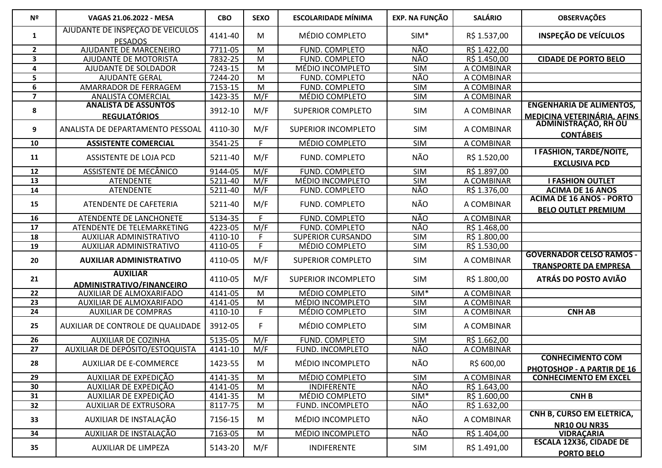| Nº                      | VAGAS 21.06.2022 - MESA                             | <b>CBO</b> | <b>SEXO</b>    | <b>ESCOLARIDADE MÍNIMA</b> | <b>EXP. NA FUNÇÃO</b> | <b>SALÁRIO</b> | <b>OBSERVAÇÕES</b>                                              |
|-------------------------|-----------------------------------------------------|------------|----------------|----------------------------|-----------------------|----------------|-----------------------------------------------------------------|
| 1                       | AJUDANTE DE INSPEÇÃO DE VEÍCULOS<br><b>PESADOS</b>  | 4141-40    | M              | MÉDIO COMPLETO             | $SIM*$                | R\$ 1.537,00   | <b>INSPEÇÃO DE VEÍCULOS</b>                                     |
| $\overline{2}$          | AJUDANTE DE MARCENEIRO                              | 7711-05    | M              | FUND. COMPLETO             | NÃO                   | R\$ 1.422,00   |                                                                 |
| 3                       | AJUDANTE DE MOTORISTA                               | 7832-25    | M              | FUND. COMPLETO             | NÃO                   | R\$ 1.450,00   | <b>CIDADE DE PORTO BELO</b>                                     |
| 4                       | AJUDANTE DE SOLDADOR                                | 7243-15    | M              | MÉDIO INCOMPLETO           | <b>SIM</b>            | A COMBINAR     |                                                                 |
| 5                       | <b>AJUDANTE GERAL</b>                               | 7244-20    | M              | FUND. COMPLETO             | NÃO                   | A COMBINAR     |                                                                 |
| 6                       | AMARRADOR DE FERRAGEM                               | 7153-15    | $\overline{M}$ | FUND. COMPLETO             | <b>SIM</b>            | A COMBINAR     |                                                                 |
| $\overline{\mathbf{z}}$ | <b>ANALISTA COMERCIAL</b>                           | 1423-35    | M/F            | MÉDIO COMPLETO             | <b>SIM</b>            | A COMBINAR     |                                                                 |
| 8                       | <b>ANALISTA DE ASSUNTOS</b><br><b>REGULATÓRIOS</b>  | 3912-10    | M/F            | <b>SUPERIOR COMPLETO</b>   | SIM                   | A COMBINAR     | <b>ENGENHARIA DE ALIMENTOS,</b><br>MEDICINA VETERINÁRIA, AFINS  |
| 9                       | ANALISTA DE DEPARTAMENTO PESSOAL                    | 4110-30    | M/F            | <b>SUPERIOR INCOMPLETO</b> | <b>SIM</b>            | A COMBINAR     | ADMINISTRAÇÃO, RH OU<br><b>CONTÁBEIS</b>                        |
| 10                      | <b>ASSISTENTE COMERCIAL</b>                         | 3541-25    | F.             | MÉDIO COMPLETO             | <b>SIM</b>            | A COMBINAR     |                                                                 |
| 11                      | ASSISTENTE DE LOJA PCD                              | 5211-40    | M/F            | FUND. COMPLETO             | NÃO                   | R\$ 1.520,00   | <b>I FASHION, TARDE/NOITE,</b><br><b>EXCLUSIVA PCD</b>          |
| 12                      | ASSISTENTE DE MECÂNICO                              | 9144-05    | M/F            | FUND. COMPLETO             | <b>SIM</b>            | R\$ 1.897,00   |                                                                 |
| 13                      | <b>ATENDENTE</b>                                    | 5211-40    | M/F            | MÉDIO INCOMPLETO           | SIM                   | A COMBINAR     | <b>I FASHION OUTLET</b>                                         |
| 14                      | <b>ATENDENTE</b>                                    | 5211-40    | M/F            | FUND. COMPLETO             | <b>NÃO</b>            | R\$ 1.376,00   | <b>ACIMA DE 16 ANOS</b>                                         |
| 15                      | ATENDENTE DE CAFETERIA                              | 5211-40    | M/F            | FUND. COMPLETO             | NÃO                   | A COMBINAR     | <b>ACIMA DE 16 ANOS - PORTO</b><br><b>BELO OUTLET PREMIUM</b>   |
| 16                      | ATENDENTE DE LANCHONETE                             | 5134-35    | F              | FUND. COMPLETO             | NÃO                   | A COMBINAR     |                                                                 |
| 17                      | ATENDENTE DE TELEMARKETING                          | 4223-05    | M/F            | FUND. COMPLETO             | <b>NÃO</b>            | R\$ 1.468,00   |                                                                 |
| 18                      | AUXILIAR ADMINISTRATIVO                             | 4110-10    | F              | <b>SUPERIOR CURSANDO</b>   | <b>SIM</b>            | R\$ 1.800,00   |                                                                 |
| 19                      | AUXILIAR ADMINISTRATIVO                             | 4110-05    | F.             | MÉDIO COMPLETO             | <b>SIM</b>            | R\$ 1.530,00   |                                                                 |
| 20                      | <b>AUXILIAR ADMINISTRATIVO</b>                      | 4110-05    | M/F            | <b>SUPERIOR COMPLETO</b>   | <b>SIM</b>            | A COMBINAR     | <b>GOVERNADOR CELSO RAMOS -</b><br><b>TRANSPORTE DA EMPRESA</b> |
| 21                      | <b>AUXILIAR</b><br><b>ADMINISTRATIVO/FINANCEIRO</b> | 4110-05    | M/F            | <b>SUPERIOR INCOMPLETO</b> | <b>SIM</b>            | R\$ 1.800,00   | ATRÁS DO POSTO AVIÃO                                            |
| 22                      | AUXILIAR DE ALMOXARIFADO                            | 4141-05    | M              | MÉDIO COMPLETO             | $SIM*$                | A COMBINAR     |                                                                 |
| 23                      | AUXILIAR DE ALMOXARIFADO                            | 4141-05    | M              | MÉDIO INCOMPLETO           | <b>SIM</b>            | A COMBINAR     |                                                                 |
| 24                      | <b>AUXILIAR DE COMPRAS</b>                          | 4110-10    | F.             | MÉDIO COMPLETO             | <b>SIM</b>            | A COMBINAR     | <b>CNH AB</b>                                                   |
| 25                      | AUXILIAR DE CONTROLE DE QUALIDADE                   | 3912-05    | F.             | MÉDIO COMPLETO             | <b>SIM</b>            | A COMBINAR     |                                                                 |
| 26                      | <b>AUXILIAR DE COZINHA</b>                          | 5135-05    | M/F            | FUND. COMPLETO             | <b>SIM</b>            | R\$ 1.662,00   |                                                                 |
| $\overline{27}$         | AUXILIAR DE DEPÓSITO/ESTOQUISTA                     | 4141-10    | M/F            | FUND. INCOMPLETO           | <b>NÃO</b>            | A COMBINAR     |                                                                 |
| 28                      | <b>AUXILIAR DE E-COMMERCE</b>                       | 1423-55    | M              | MÉDIO INCOMPLETO           | NÃO                   | R\$ 600,00     | <b>CONHECIMENTO COM</b><br><b>PHOTOSHOP - A PARTIR DE 16</b>    |
| 29                      | AUXILIAR DE EXPEDIÇÃO                               | 4141-35    | M              | MÉDIO COMPLETO             | SIM                   | A COMBINAR     | <b>CONHECIMENTO EM EXCEL</b>                                    |
| 30                      | AUXILIAR DE EXPEDIÇÃO                               | 4141-05    | M              | <b>INDIFERENTE</b>         | NÃO                   | R\$ 1.643,00   |                                                                 |
| 31                      | AUXILIAR DE EXPEDIÇÃO                               | 4141-35    | M              | MÉDIO COMPLETO             | $SIM*$                | R\$ 1.600,00   | <b>CNHB</b>                                                     |
| 32                      | AUXILIAR DE EXTRUSORA                               | 8117-75    | M              | FUND. INCOMPLETO           | NÃO                   | R\$ 1.632,00   |                                                                 |
| 33                      | AUXILIAR DE INSTALAÇÃO                              | 7156-15    | M              | MÉDIO INCOMPLETO           | NÃO                   | A COMBINAR     | CNH B, CURSO EM ELÉTRICA,<br><b>NR10 OU NR35</b>                |
| 34                      | AUXILIAR DE INSTALAÇÃO                              | 7163-05    | M              | MÉDIO INCOMPLETO           | <b>NÃO</b>            | R\$ 1.404,00   | <b>VIDRAÇARIA</b>                                               |
| 35                      | AUXILIAR DE LIMPEZA                                 | 5143-20    | M/F            | <b>INDIFERENTE</b>         | SIM                   | R\$ 1.491,00   | <b>ESCALA 12X36, CIDADE DE</b>                                  |
|                         |                                                     |            |                |                            |                       |                | <b>PORTO BELO</b>                                               |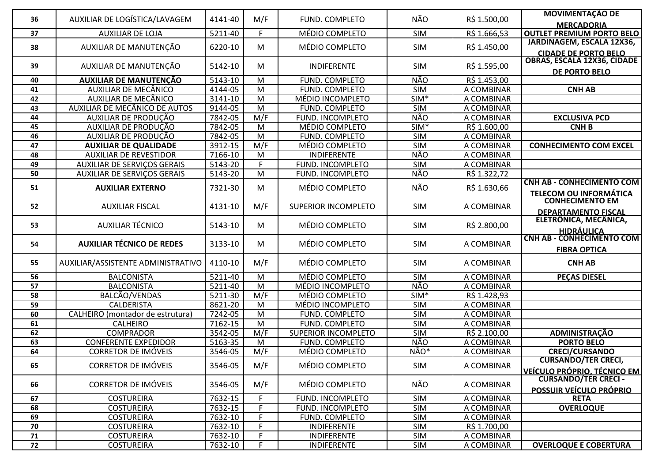| 36 | AUXILIAR DE LOGÍSTICA/LAVAGEM      | 4141-40 | M/F            |                            | <b>NÃO</b>              |              | <b>MOVIMENTAÇÃO DE</b>             |
|----|------------------------------------|---------|----------------|----------------------------|-------------------------|--------------|------------------------------------|
|    |                                    |         |                | FUND. COMPLETO             |                         | R\$ 1.500,00 | <b>MERCADORIA</b>                  |
| 37 | <b>AUXILIAR DE LOJA</b>            | 5211-40 | F.             | MÉDIO COMPLETO             | <b>SIM</b>              | R\$ 1.666,53 | <b>OUTLET PREMIUM PORTO BELO</b>   |
| 38 | AUXILIAR DE MANUTENÇÃO             | 6220-10 | M              | MÉDIO COMPLETO             | <b>SIM</b>              | R\$ 1.450,00 | JARDINAGEM, ESCALA 12X36,          |
|    |                                    |         |                |                            |                         |              | <b>CIDADE DE PORTO BELO</b>        |
| 39 | AUXILIAR DE MANUTENÇÃO             | 5142-10 | M              | INDIFERENTE                | <b>SIM</b>              | R\$ 1.595,00 | OBRAS, ESCALA 12X36, CIDADE        |
|    |                                    |         |                |                            |                         |              | DE PORTO BELO                      |
| 40 | <b>AUXILIAR DE MANUTENÇÃO</b>      | 5143-10 | M              | FUND. COMPLETO             | <b>NÃO</b>              | R\$ 1.453,00 |                                    |
| 41 | AUXILIAR DE MECÂNICO               | 4144-05 | M              | FUND. COMPLETO             | <b>SIM</b>              | A COMBINAR   | <b>CNH AB</b>                      |
| 42 | AUXILIAR DE MECÂNICO               | 3141-10 | M              | MÉDIO INCOMPLETO           | SIM*                    | A COMBINAR   |                                    |
| 43 | AUXILIAR DE MECÂNICO DE AUTOS      | 9144-05 | $\overline{M}$ | FUND. COMPLETO             | <b>SIM</b>              | A COMBINAR   |                                    |
| 44 | AUXILIAR DE PRODUÇÃO               | 7842-05 | M/F            | FUND. INCOMPLETO           | NÃO                     | A COMBINAR   | <b>EXCLUSIVA PCD</b>               |
| 45 | AUXILIAR DE PRODUÇÃO               | 7842-05 | M              | MÉDIO COMPLETO             | $SIM*$                  | R\$ 1.600,00 | <b>CNHB</b>                        |
| 46 | AUXILIAR DE PRODUÇÃO               | 7842-05 | $\overline{M}$ | FUND. COMPLETO             | <b>SIM</b>              | A COMBINAR   |                                    |
| 47 | <b>AUXILIAR DE QUALIDADE</b>       | 3912-15 | M/F            | MÉDIO COMPLETO             | <b>SIM</b>              | A COMBINAR   | <b>CONHECIMENTO COM EXCEL</b>      |
| 48 | <b>AUXILIAR DE REVESTIDOR</b>      | 7166-10 | M              | INDIFERENTE                | NÃO                     | A COMBINAR   |                                    |
| 49 | <b>AUXILIAR DE SERVIÇOS GERAIS</b> | 5143-20 | F.             | FUND. INCOMPLETO           | <b>SIM</b>              | A COMBINAR   |                                    |
| 50 | <b>AUXILIAR DE SERVIÇOS GERAIS</b> | 5143-20 | M              | FUND. INCOMPLETO           | NÃO                     | R\$ 1.322,72 |                                    |
| 51 | <b>AUXILIAR EXTERNO</b>            | 7321-30 | M              | MÉDIO COMPLETO             | NÃO                     | R\$ 1.630,66 | <b>CNH AB - CONHECIMENTO COM</b>   |
|    |                                    |         |                |                            |                         |              | <b>TELECOM OU INFORMÁTICA</b>      |
| 52 | <b>AUXILIAR FISCAL</b>             | 4131-10 | M/F            | SUPERIOR INCOMPLETO        | <b>SIM</b>              | A COMBINAR   | <b>CONHECIMENTO EM</b>             |
|    |                                    |         |                |                            |                         |              | <b>DEPARTAMENTO FISCAL</b>         |
| 53 | <b>AUXILIAR TÉCNICO</b>            | 5143-10 | M              | MÉDIO COMPLETO             | <b>SIM</b>              | R\$ 2.800,00 | ELETRÔNICA, MECĂNICA,              |
|    |                                    |         |                |                            |                         |              | <b>HIDRÁULICA</b>                  |
| 54 | <b>AUXILIAR TÉCNICO DE REDES</b>   | 3133-10 | M              | MÉDIO COMPLETO             | <b>SIM</b>              | A COMBINAR   | <b>CNH AB - CONHECIMENTO COM</b>   |
|    |                                    |         |                |                            |                         |              | <b>FIBRA OPTICA</b>                |
| 55 | AUXILIAR/ASSISTENTE ADMINISTRATIVO | 4110-10 | M/F            | MÉDIO COMPLETO             | <b>SIM</b>              | A COMBINAR   | <b>CNH AB</b>                      |
|    |                                    |         |                |                            |                         |              |                                    |
| 56 | <b>BALCONISTA</b>                  | 5211-40 | M              | MÉDIO COMPLETO             | <b>SIM</b>              | A COMBINAR   | <b>PEÇAS DIESEL</b>                |
| 57 | <b>BALCONISTA</b>                  | 5211-40 | $\overline{M}$ | MÉDIO INCOMPLETO           | <b>NÃO</b>              | A COMBINAR   |                                    |
| 58 | BALCÃO/VENDAS                      | 5211-30 | M/F            | MÉDIO COMPLETO             | $SIM*$                  | R\$ 1.428,93 |                                    |
| 59 | <b>CALDERISTA</b>                  | 8621-20 | M              | MÉDIO INCOMPLETO           | <b>SIM</b>              | A COMBINAR   |                                    |
| 60 | CALHEIRO (montador de estrutura)   | 7242-05 | $\overline{M}$ | FUND. COMPLETO             | <b>SIM</b>              | A COMBINAR   |                                    |
| 61 | <b>CALHEIRO</b>                    | 7162-15 | $\overline{M}$ | FUND. COMPLETO             | $\overline{\text{SIM}}$ | A COMBINAR   |                                    |
| 62 | <b>COMPRADOR</b>                   | 3542-05 | M/F            | <b>SUPERIOR INCOMPLETO</b> | <b>SIM</b>              | R\$ 2.100,00 | ADMINISTRAÇÃO                      |
| 63 | <b>CONFERENTE EXPEDIDOR</b>        | 5163-35 | M              | FUND. COMPLETO             | <b>NÃO</b>              | A COMBINAR   | <b>PORTO BELO</b>                  |
| 64 | <b>CORRETOR DE IMÓVEIS</b>         | 3546-05 | M/F            | MÉDIO COMPLETO             | NÃO*                    | A COMBINAR   | <b>CRECI/CURSANDO</b>              |
| 65 | <b>CORRETOR DE IMÓVEIS</b>         | 3546-05 | M/F            | MÉDIO COMPLETO             | SIM                     | A COMBINAR   | <b>CURSANDO/TER CRECI,</b>         |
|    |                                    |         |                |                            |                         |              | <b>VEÍCULO PRÓPRIO, TÉCNICO EM</b> |
|    | <b>CORRETOR DE IMÓVEIS</b>         |         |                |                            |                         |              | <b>CURSANDO/TER CRECI -</b>        |
| 66 |                                    | 3546-05 | M/F            | MÉDIO COMPLETO             | NÃO                     | A COMBINAR   | POSSUIR VEÍCULO PRÓPRIO            |
| 67 | <b>COSTUREIRA</b>                  | 7632-15 | F.             | FUND. INCOMPLETO           | <b>SIM</b>              | A COMBINAR   | <b>RETA</b>                        |
| 68 | <b>COSTUREIRA</b>                  | 7632-15 | F              | FUND. INCOMPLETO           | <b>SIM</b>              | A COMBINAR   | <b>OVERLOQUE</b>                   |
| 69 | <b>COSTUREIRA</b>                  | 7632-10 | F              | FUND. COMPLETO             | <b>SIM</b>              | A COMBINAR   |                                    |
| 70 | <b>COSTUREIRA</b>                  | 7632-10 | F              | <b>INDIFERENTE</b>         | SIM                     | R\$ 1.700,00 |                                    |
| 71 | <b>COSTUREIRA</b>                  | 7632-10 | F              | <b>INDIFERENTE</b>         | SIM                     | A COMBINAR   |                                    |
| 72 | <b>COSTUREIRA</b>                  | 7632-10 | F              | INDIFERENTE                | SIM                     | A COMBINAR   | <b>OVERLOQUE E COBERTURA</b>       |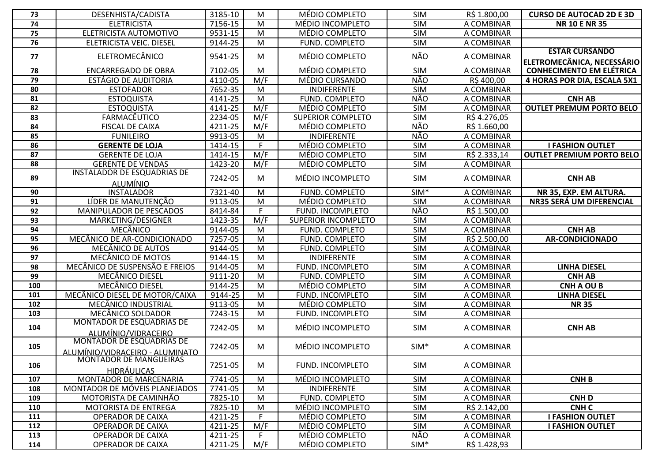| 73  | DESENHISTA/CADISTA                                                  | 3185-10 | M         | MÉDIO COMPLETO             | <b>SIM</b> | R\$ 1.800,00 | <b>CURSO DE AUTOCAD 2D E 3D</b>                     |
|-----|---------------------------------------------------------------------|---------|-----------|----------------------------|------------|--------------|-----------------------------------------------------|
| 74  | <b>ELETRICISTA</b>                                                  | 7156-15 | M         | MÉDIO INCOMPLETO           | <b>SIM</b> | A COMBINAR   | <b>NR 10 E NR 35</b>                                |
| 75  | ELETRICISTA AUTOMOTIVO                                              | 9531-15 | M         | MÉDIO COMPLETO             | <b>SIM</b> | A COMBINAR   |                                                     |
| 76  | ELETRICISTA VEIC. DIESEL                                            | 9144-25 | M         | FUND. COMPLETO             | <b>SIM</b> | A COMBINAR   |                                                     |
| 77  | ELETROMECÂNICO                                                      | 9541-25 | M         | MÉDIO COMPLETO             | NÃO        | A COMBINAR   | <b>ESTAR CURSANDO</b><br>ELETROMECÂNICA. NECESSÁRIO |
| 78  | <b>ENCARREGADO DE OBRA</b>                                          | 7102-05 | M         | MÉDIO COMPLETO             | <b>SIM</b> | A COMBINAR   | <b>CONHECIMENTO EM ELÉTRICA</b>                     |
| 79  | <b>ESTÁGIO DE AUDITORIA</b>                                         | 4110-05 | M/F       | MÉDIO CURSANDO             | <b>NÃO</b> | R\$400,00    | 4 HORAS POR DIA, ESCALA 5X1                         |
| 80  | <b>ESTOFADOR</b>                                                    | 7652-35 | M         | <b>INDIFERENTE</b>         | <b>SIM</b> | A COMBINAR   |                                                     |
| 81  | <b>ESTOQUISTA</b>                                                   | 4141-25 | M         | FUND. COMPLETO             | NÃO        | A COMBINAR   | <b>CNH AB</b>                                       |
| 82  | <b>ESTOQUISTA</b>                                                   | 4141-25 | M/F       | MÉDIO COMPLETO             | <b>SIM</b> | A COMBINAR   | <b>OUTLET PREMUM PORTO BELO</b>                     |
| 83  | FARMACÊUTICO                                                        | 2234-05 | M/F       | <b>SUPERIOR COMPLETO</b>   | <b>SIM</b> | R\$4.276,05  |                                                     |
| 84  | <b>FISCAL DE CAIXA</b>                                              | 4211-25 | M/F       | MÉDIO COMPLETO             | <b>NÃO</b> | R\$ 1.660,00 |                                                     |
| 85  | <b>FUNILEIRO</b>                                                    | 9913-05 | M         | <b>INDIFERENTE</b>         | NÃO        | A COMBINAR   |                                                     |
| 86  | <b>GERENTE DE LOJA</b>                                              | 1414-15 | F         | MÉDIO COMPLETO             | <b>SIM</b> | A COMBINAR   | <b>I FASHION OUTLET</b>                             |
| 87  | <b>GERENTE DE LOJA</b>                                              | 1414-15 | M/F       | MÉDIO COMPLETO             | <b>SIM</b> | R\$ 2.333,14 | <b>OUTLET PREMIUM PORTO BELO</b>                    |
| 88  | <b>GERENTE DE VENDAS</b>                                            | 1423-20 | M/F       | MÉDIO COMPLETO             | <b>SIM</b> | A COMBINAR   |                                                     |
| 89  | <b>INSTALADOR DE ESQUADRIAS DE</b><br><b>ALUMÍNIO</b>               | 7242-05 | M         | MÉDIO INCOMPLETO           | SIM        | A COMBINAR   | <b>CNH AB</b>                                       |
| 90  | <b>INSTALADOR</b>                                                   | 7321-40 | ${\sf M}$ | FUND. COMPLETO             | $SIM*$     | A COMBINAR   | NR 35, EXP. EM ALTURA.                              |
| 91  | LÍDER DE MANUTENÇÃO                                                 | 9113-05 | M         | MÉDIO COMPLETO             | <b>SIM</b> | A COMBINAR   | NR35 SERÁ UM DIFERENCIAL                            |
| 92  | MANIPULADOR DE PESCADOS                                             | 8414-84 | F         | FUND. INCOMPLETO           | NÃO        | R\$ 1.500,00 |                                                     |
| 93  | MARKETING/DESIGNER                                                  | 1423-35 | M/F       | <b>SUPERIOR INCOMPLETO</b> | <b>SIM</b> | A COMBINAR   |                                                     |
| 94  | MECÂNICO                                                            | 9144-05 | M         | FUND. COMPLETO             | <b>SIM</b> | A COMBINAR   | <b>CNH AB</b>                                       |
| 95  | MECÂNICO DE AR-CONDICIONADO                                         | 7257-05 | M         | FUND. COMPLETO             | <b>SIM</b> | R\$ 2.500,00 | <b>AR-CONDICIONADO</b>                              |
| 96  | MECÂNICO DE AUTOS                                                   | 9144-05 | M         | FUND. COMPLETO             | <b>SIM</b> | A COMBINAR   |                                                     |
| 97  | MECÂNICO DE MOTOS                                                   | 9144-15 | M         | <b>INDIFERENTE</b>         | <b>SIM</b> | A COMBINAR   |                                                     |
| 98  | MECÂNICO DE SUSPENSÃO E FREIOS                                      | 9144-05 | M         | FUND. INCOMPLETO           | <b>SIM</b> | A COMBINAR   | <b>LINHA DIESEL</b>                                 |
| 99  | MECÂNICO DIESEL                                                     | 9111-20 | M         | FUND. COMPLETO             | <b>SIM</b> | A COMBINAR   | <b>CNH AB</b>                                       |
| 100 | MECÂNICO DIESEL                                                     | 9144-25 | M         | MÉDIO COMPLETO             | <b>SIM</b> | A COMBINAR   | <b>CNH A OU B</b>                                   |
| 101 | MECÂNICO DIESEL DE MOTOR/CAIXA                                      | 9144-25 | M         | FUND. INCOMPLETO           | <b>SIM</b> | A COMBINAR   | <b>LINHA DIESEL</b>                                 |
| 102 | MECÂNICO INDUSTRIAL                                                 | 9113-05 | M         | MÉDIO COMPLETO             | <b>SIM</b> | A COMBINAR   | <b>NR35</b>                                         |
| 103 | MECÂNICO SOLDADOR                                                   | 7243-15 | M         | FUND. INCOMPLETO           | <b>SIM</b> | A COMBINAR   |                                                     |
| 104 | <b>MONTADOR DE ESQUADRIAS DE</b><br>ALUMÍNIO/VIDRACEIRO             | 7242-05 | M         | MÉDIO INCOMPLETO           | SIM        | A COMBINAR   | <b>CNH AB</b>                                       |
| 105 | <b>MONTADOR DE ESQUADRIAS DE</b><br>ALUMÍNIO/VIDRACEIRO - ALUMINATO | 7242-05 | M         | MÉDIO INCOMPLETO           | $SIM*$     | A COMBINAR   |                                                     |
| 106 | <b>MONTADOR DE MANGUEIRAS</b><br><b>HIDRÁULICAS</b>                 | 7251-05 | M         | FUND. INCOMPLETO           | SIM        | A COMBINAR   |                                                     |
| 107 | MONTADOR DE MARCENARIA                                              | 7741-05 | M         | MÉDIO INCOMPLETO           | <b>SIM</b> | A COMBINAR   | <b>CNHB</b>                                         |
| 108 | MONTADOR DE MÓVEIS PLANEJADOS                                       | 7741-05 | M         | <b>INDIFERENTE</b>         | SIM        | A COMBINAR   |                                                     |
| 109 | MOTORISTA DE CAMINHÃO                                               | 7825-10 | M         | FUND. COMPLETO             | <b>SIM</b> | A COMBINAR   | <b>CNHD</b>                                         |
| 110 | MOTORISTA DE ENTREGA                                                | 7825-10 | M         | MÉDIO INCOMPLETO           | <b>SIM</b> | R\$ 2.142,00 | <b>CNHC</b>                                         |
| 111 | OPERADOR DE CAIXA                                                   | 4211-25 | F.        | MÉDIO COMPLETO             | <b>SIM</b> | A COMBINAR   | <b>I FASHION OUTLET</b>                             |
| 112 | OPERADOR DE CAIXA                                                   | 4211-25 | M/F       | MÉDIO COMPLETO             | <b>SIM</b> | A COMBINAR   | <b>I FASHION OUTLET</b>                             |
| 113 | OPERADOR DE CAIXA                                                   | 4211-25 |           | MÉDIO COMPLETO             | NÃO        | A COMBINAR   |                                                     |
| 114 | OPERADOR DE CAIXA                                                   | 4211-25 | M/F       | MÉDIO COMPLETO             | $SIM*$     | R\$ 1.428,93 |                                                     |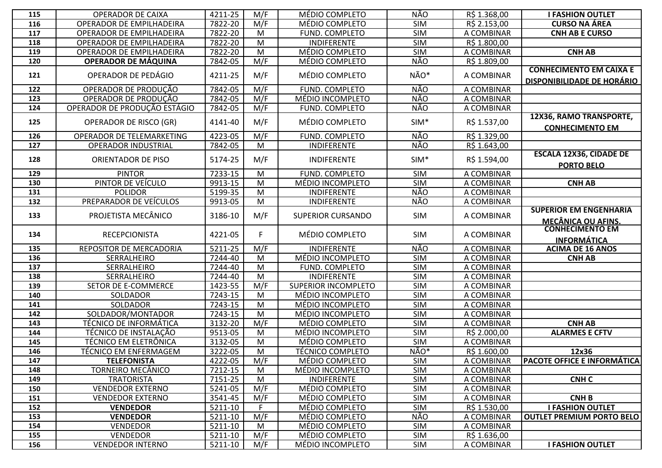| 115 | <b>OPERADOR DE CAIXA</b>        | 4211-25 | M/F              | MÉDIO COMPLETO             | NÃO        | R\$ 1.368,00 | <b>I FASHION OUTLET</b>                                             |
|-----|---------------------------------|---------|------------------|----------------------------|------------|--------------|---------------------------------------------------------------------|
| 116 | <b>OPERADOR DE EMPILHADEIRA</b> | 7822-20 | M/F              | MÉDIO COMPLETO             | <b>SIM</b> | R\$ 2.153,00 | <b>CURSO NA ÁREA</b>                                                |
| 117 | OPERADOR DE EMPILHADEIRA        | 7822-20 | M                | FUND. COMPLETO             | <b>SIM</b> | A COMBINAR   | <b>CNH AB E CURSO</b>                                               |
| 118 | OPERADOR DE EMPILHADEIRA        | 7822-20 | M                | <b>INDIFERENTE</b>         | <b>SIM</b> | R\$ 1.800,00 |                                                                     |
| 119 | OPERADOR DE EMPILHADEIRA        | 7822-20 | M                | MÉDIO COMPLETO             | <b>SIM</b> | A COMBINAR   | <b>CNH AB</b>                                                       |
| 120 | <b>OPERADOR DE MÁQUINA</b>      | 7842-05 | M/F              | MÉDIO COMPLETO             | NÃO        | R\$ 1.809,00 |                                                                     |
| 121 | OPERADOR DE PEDÁGIO             | 4211-25 | M/F              | MÉDIO COMPLETO             | NÃO*       | A COMBINAR   | <b>CONHECIMENTO EM CAIXA E</b><br><b>DISPONIBILIDADE DE HORÁRIO</b> |
| 122 | OPERADOR DE PRODUÇÃO            | 7842-05 | M/F              | FUND. COMPLETO             | NÃO        | A COMBINAR   |                                                                     |
| 123 | OPERADOR DE PRODUÇÃO            | 7842-05 | M/F              | MÉDIO INCOMPLETO           | NÃO        | A COMBINAR   |                                                                     |
| 124 | OPERADOR DE PRODUÇÃO ESTÁGIO    | 7842-05 | M/F              | FUND. COMPLETO             | NÃO        | A COMBINAR   |                                                                     |
| 125 | <b>OPERADOR DE RISCO (GR)</b>   | 4141-40 | M/F              | MÉDIO COMPLETO             | $SIM*$     | R\$ 1.537,00 | 12X36, RAMO TRANSPORTE,<br><b>CONHECIMENTO EM</b>                   |
| 126 | OPERADOR DE TELEMARKETING       | 4223-05 | M/F              | FUND. COMPLETO             | NÃO        | R\$ 1.329,00 |                                                                     |
| 127 | <b>OPERADOR INDUSTRIAL</b>      | 7842-05 | M                | <b>INDIFERENTE</b>         | NÃO        | R\$ 1.643,00 |                                                                     |
| 128 | ORIENTADOR DE PISO              | 5174-25 | M/F              | <b>INDIFERENTE</b>         | $SIM*$     | R\$ 1.594,00 | <b>ESCALA 12X36, CIDADE DE</b><br><b>PORTO BELO</b>                 |
| 129 | <b>PINTOR</b>                   | 7233-15 | M                | FUND. COMPLETO             | <b>SIM</b> | A COMBINAR   |                                                                     |
| 130 | PINTOR DE VEÍCULO               | 9913-15 | M                | MÉDIO INCOMPLETO           | <b>SIM</b> | A COMBINAR   | <b>CNH AB</b>                                                       |
| 131 | <b>POLIDOR</b>                  | 5199-35 | M                | <b>INDIFERENTE</b>         | NÃO        | A COMBINAR   |                                                                     |
| 132 | PREPARADOR DE VEÍCULOS          | 9913-05 | M                | <b>INDIFERENTE</b>         | NÃO        | A COMBINAR   |                                                                     |
| 133 | PROJETISTA MECÂNICO             | 3186-10 | M/F              | <b>SUPERIOR CURSANDO</b>   | <b>SIM</b> | A COMBINAR   | <b>SUPERIOR EM ENGENHARIA</b><br><b>MECÂNICA OU AFINS.</b>          |
| 134 | <b>RECEPCIONISTA</b>            | 4221-05 | F.               | MÉDIO COMPLETO             | <b>SIM</b> | A COMBINAR   | <b>CONHECIMENTO EM</b><br><b>INFORMÁTICA</b>                        |
| 135 | REPOSITOR DE MERCADORIA         | 5211-25 | M/F              | INDIFERENTE                | NÃO        | A COMBINAR   | <b>ACIMA DE 16 ANOS</b>                                             |
| 136 | SERRALHEIRO                     | 7244-40 | M                | MÉDIO INCOMPLETO           | <b>SIM</b> | A COMBINAR   | <b>CNH AB</b>                                                       |
| 137 | SERRALHEIRO                     | 7244-40 | M                | FUND. COMPLETO             | <b>SIM</b> | A COMBINAR   |                                                                     |
| 138 | SERRALHEIRO                     | 7244-40 | M                | <b>INDIFERENTE</b>         | <b>SIM</b> | A COMBINAR   |                                                                     |
| 139 | SETOR DE E-COMMERCE             | 1423-55 | $M/\overline{F}$ | <b>SUPERIOR INCOMPLETO</b> | <b>SIM</b> | A COMBINAR   |                                                                     |
| 140 | SOLDADOR                        | 7243-15 | M                | MÉDIO INCOMPLETO           | <b>SIM</b> | A COMBINAR   |                                                                     |
| 141 | SOLDADOR                        | 7243-15 | M                | MÉDIO INCOMPLETO           | <b>SIM</b> | A COMBINAR   |                                                                     |
| 142 | SOLDADOR/MONTADOR               | 7243-15 | M                | MÉDIO INCOMPLETO           | <b>SIM</b> | A COMBINAR   |                                                                     |
| 143 | <b>TÉCNICO DE INFORMÁTICA</b>   | 3132-20 | M/F              | MÉDIO COMPLETO             | <b>SIM</b> | A COMBINAR   | <b>CNH AB</b>                                                       |
| 144 | TÉCNICO DE INSTALAÇÃO           | 9513-05 | M                | MÉDIO INCOMPLETO           | <b>SIM</b> | R\$ 2.000,00 | <b>ALARMES E CFTV</b>                                               |
| 145 | TÉCNICO EM ELETRÔNICA           | 3132-05 | M                | MÉDIO COMPLETO             | <b>SIM</b> | A COMBINAR   |                                                                     |
| 146 | <b>TÉCNICO EM ENFERMAGEM</b>    | 3222-05 | M                | <b>TÉCNICO COMPLETO</b>    | NÃO*       | R\$ 1.600,00 | 12x36                                                               |
| 147 | <b>TELEFONISTA</b>              | 4222-05 | M/F              | MÉDIO COMPLETO             | <b>SIM</b> | A COMBINAR   | <b>PACOTE OFFICE E INFORMÁTICA</b>                                  |
| 148 | TORNEIRO MECÂNICO               | 7212-15 | M                | MÉDIO INCOMPLETO           | <b>SIM</b> | A COMBINAR   |                                                                     |
| 149 | <b>TRATORISTA</b>               | 7151-25 | M                | <b>INDIFERENTE</b>         | <b>SIM</b> | A COMBINAR   | <b>CNHC</b>                                                         |
| 150 | <b>VENDEDOR EXTERNO</b>         | 5241-05 | M/F              | MÉDIO COMPLETO             | <b>SIM</b> | A COMBINAR   |                                                                     |
| 151 | <b>VENDEDOR EXTERNO</b>         | 3541-45 | M/F              | MÉDIO COMPLETO             | <b>SIM</b> | A COMBINAR   | <b>CNHB</b>                                                         |
| 152 | <b>VENDEDOR</b>                 | 5211-10 | F.               | MÉDIO COMPLETO             | <b>SIM</b> | R\$ 1.530,00 | <b>I FASHION OUTLET</b>                                             |
| 153 | <b>VENDEDOR</b>                 | 5211-10 | M/F              | MÉDIO COMPLETO             | NÃO        | A COMBINAR   | <b>OUTLET PREMIUM PORTO BELO</b>                                    |
| 154 | <b>VENDEDOR</b>                 | 5211-10 | M                | MÉDIO COMPLETO             | <b>SIM</b> | A COMBINAR   |                                                                     |
| 155 | <b>VENDEDOR</b>                 | 5211-10 | M/F              | MÉDIO COMPLETO             | <b>SIM</b> | R\$ 1.636,00 |                                                                     |
| 156 | <b>VENDEDOR INTERNO</b>         | 5211-10 | M/F              | MÉDIO INCOMPLETO           | <b>SIM</b> | A COMBINAR   | <b>I FASHION OUTLET</b>                                             |